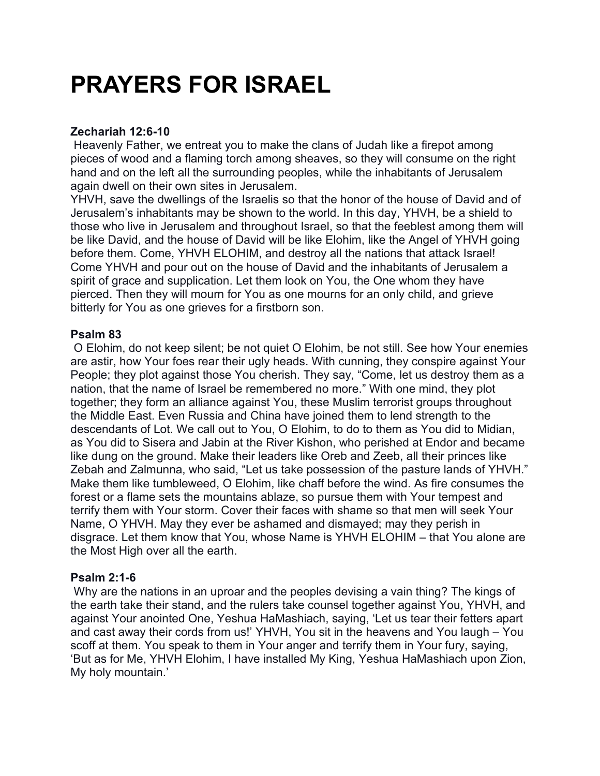# **PRAYERS FOR ISRAEL**

# **Zechariah 12:6-10**

Heavenly Father, we entreat you to make the clans of Judah like a firepot among pieces of wood and a flaming torch among sheaves, so they will consume on the right hand and on the left all the surrounding peoples, while the inhabitants of Jerusalem again dwell on their own sites in Jerusalem.

YHVH, save the dwellings of the Israelis so that the honor of the house of David and of Jerusalem's inhabitants may be shown to the world. In this day, YHVH, be a shield to those who live in Jerusalem and throughout Israel, so that the feeblest among them will be like David, and the house of David will be like Elohim, like the Angel of YHVH going before them. Come, YHVH ELOHIM, and destroy all the nations that attack Israel! Come YHVH and pour out on the house of David and the inhabitants of Jerusalem a spirit of grace and supplication. Let them look on You, the One whom they have pierced. Then they will mourn for You as one mourns for an only child, and grieve bitterly for You as one grieves for a firstborn son.

# **Psalm 83**

O Elohim, do not keep silent; be not quiet O Elohim, be not still. See how Your enemies are astir, how Your foes rear their ugly heads. With cunning, they conspire against Your People; they plot against those You cherish. They say, "Come, let us destroy them as a nation, that the name of Israel be remembered no more." With one mind, they plot together; they form an alliance against You, these Muslim terrorist groups throughout the Middle East. Even Russia and China have joined them to lend strength to the descendants of Lot. We call out to You, O Elohim, to do to them as You did to Midian, as You did to Sisera and Jabin at the River Kishon, who perished at Endor and became like dung on the ground. Make their leaders like Oreb and Zeeb, all their princes like Zebah and Zalmunna, who said, "Let us take possession of the pasture lands of YHVH." Make them like tumbleweed, O Elohim, like chaff before the wind. As fire consumes the forest or a flame sets the mountains ablaze, so pursue them with Your tempest and terrify them with Your storm. Cover their faces with shame so that men will seek Your Name, O YHVH. May they ever be ashamed and dismayed; may they perish in disgrace. Let them know that You, whose Name is YHVH ELOHIM – that You alone are the Most High over all the earth.

# **Psalm 2:1-6**

Why are the nations in an uproar and the peoples devising a vain thing? The kings of the earth take their stand, and the rulers take counsel together against You, YHVH, and against Your anointed One, Yeshua HaMashiach, saying, 'Let us tear their fetters apart and cast away their cords from us!' YHVH, You sit in the heavens and You laugh – You scoff at them. You speak to them in Your anger and terrify them in Your fury, saying, 'But as for Me, YHVH Elohim, I have installed My King, Yeshua HaMashiach upon Zion, My holy mountain.'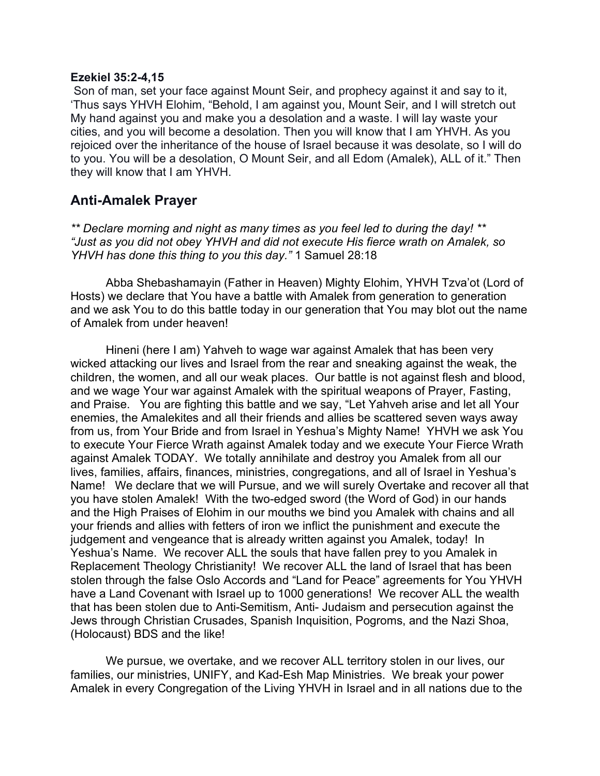#### **Ezekiel 35:2-4,15**

Son of man, set your face against Mount Seir, and prophecy against it and say to it, 'Thus says YHVH Elohim, "Behold, I am against you, Mount Seir, and I will stretch out My hand against you and make you a desolation and a waste. I will lay waste your cities, and you will become a desolation. Then you will know that I am YHVH. As you rejoiced over the inheritance of the house of Israel because it was desolate, so I will do to you. You will be a desolation, O Mount Seir, and all Edom (Amalek), ALL of it." Then they will know that I am YHVH.

# **Anti-Amalek Prayer**

*\*\* Declare morning and night as many times as you feel led to during the day! \*\* "Just as you did not obey YHVH and did not execute His fierce wrath on Amalek, so YHVH has done this thing to you this day."* 1 Samuel 28:18

Abba Shebashamayin (Father in Heaven) Mighty Elohim, YHVH Tzva'ot (Lord of Hosts) we declare that You have a battle with Amalek from generation to generation and we ask You to do this battle today in our generation that You may blot out the name of Amalek from under heaven!

Hineni (here I am) Yahveh to wage war against Amalek that has been very wicked attacking our lives and Israel from the rear and sneaking against the weak, the children, the women, and all our weak places. Our battle is not against flesh and blood, and we wage Your war against Amalek with the spiritual weapons of Prayer, Fasting, and Praise. You are fighting this battle and we say, "Let Yahveh arise and let all Your enemies, the Amalekites and all their friends and allies be scattered seven ways away from us, from Your Bride and from Israel in Yeshua's Mighty Name! YHVH we ask You to execute Your Fierce Wrath against Amalek today and we execute Your Fierce Wrath against Amalek TODAY. We totally annihilate and destroy you Amalek from all our lives, families, affairs, finances, ministries, congregations, and all of Israel in Yeshua's Name! We declare that we will Pursue, and we will surely Overtake and recover all that you have stolen Amalek! With the two-edged sword (the Word of God) in our hands and the High Praises of Elohim in our mouths we bind you Amalek with chains and all your friends and allies with fetters of iron we inflict the punishment and execute the judgement and vengeance that is already written against you Amalek, today! In Yeshua's Name. We recover ALL the souls that have fallen prey to you Amalek in Replacement Theology Christianity! We recover ALL the land of Israel that has been stolen through the false Oslo Accords and "Land for Peace" agreements for You YHVH have a Land Covenant with Israel up to 1000 generations! We recover ALL the wealth that has been stolen due to Anti-Semitism, Anti- Judaism and persecution against the Jews through Christian Crusades, Spanish Inquisition, Pogroms, and the Nazi Shoa, (Holocaust) BDS and the like!

We pursue, we overtake, and we recover ALL territory stolen in our lives, our families, our ministries, UNIFY, and Kad-Esh Map Ministries. We break your power Amalek in every Congregation of the Living YHVH in Israel and in all nations due to the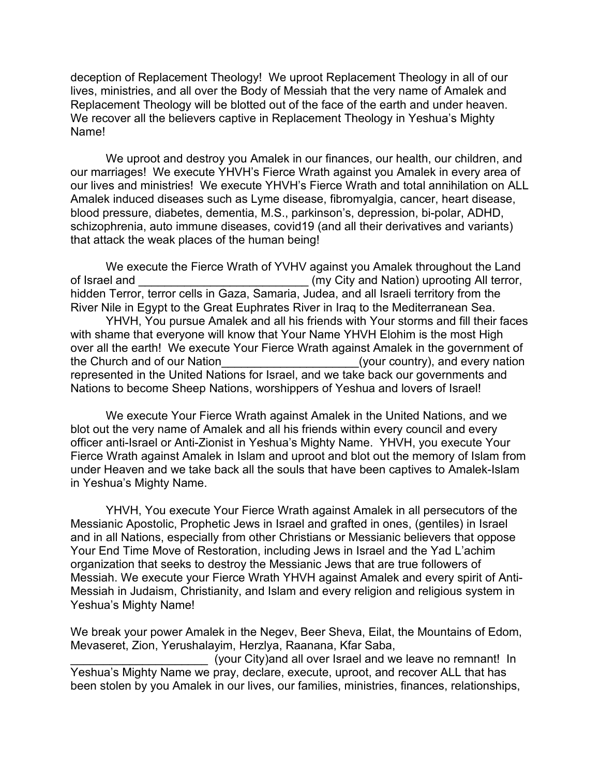deception of Replacement Theology! We uproot Replacement Theology in all of our lives, ministries, and all over the Body of Messiah that the very name of Amalek and Replacement Theology will be blotted out of the face of the earth and under heaven. We recover all the believers captive in Replacement Theology in Yeshua's Mighty Name!

We uproot and destroy you Amalek in our finances, our health, our children, and our marriages! We execute YHVH's Fierce Wrath against you Amalek in every area of our lives and ministries! We execute YHVH's Fierce Wrath and total annihilation on ALL Amalek induced diseases such as Lyme disease, fibromyalgia, cancer, heart disease, blood pressure, diabetes, dementia, M.S., parkinson's, depression, bi-polar, ADHD, schizophrenia, auto immune diseases, covid19 (and all their derivatives and variants) that attack the weak places of the human being!

We execute the Fierce Wrath of YVHV against you Amalek throughout the Land of Israel and **of Israel and**  $($ my City and Nation) uprooting All terror, hidden Terror, terror cells in Gaza, Samaria, Judea, and all Israeli territory from the River Nile in Egypt to the Great Euphrates River in Iraq to the Mediterranean Sea. YHVH, You pursue Amalek and all his friends with Your storms and fill their faces

with shame that everyone will know that Your Name YHVH Elohim is the most High over all the earth! We execute Your Fierce Wrath against Amalek in the government of the Church and of our Nation the Church and of our Nation represented in the United Nations for Israel, and we take back our governments and Nations to become Sheep Nations, worshippers of Yeshua and lovers of Israel!

We execute Your Fierce Wrath against Amalek in the United Nations, and we blot out the very name of Amalek and all his friends within every council and every officer anti-Israel or Anti-Zionist in Yeshua's Mighty Name. YHVH, you execute Your Fierce Wrath against Amalek in Islam and uproot and blot out the memory of Islam from under Heaven and we take back all the souls that have been captives to Amalek-Islam in Yeshua's Mighty Name.

YHVH, You execute Your Fierce Wrath against Amalek in all persecutors of the Messianic Apostolic, Prophetic Jews in Israel and grafted in ones, (gentiles) in Israel and in all Nations, especially from other Christians or Messianic believers that oppose Your End Time Move of Restoration, including Jews in Israel and the Yad L'achim organization that seeks to destroy the Messianic Jews that are true followers of Messiah. We execute your Fierce Wrath YHVH against Amalek and every spirit of Anti-Messiah in Judaism, Christianity, and Islam and every religion and religious system in Yeshua's Mighty Name!

We break your power Amalek in the Negev, Beer Sheva, Eilat, the Mountains of Edom, Mevaseret, Zion, Yerushalayim, Herzlya, Raanana, Kfar Saba,

(your City)and all over Israel and we leave no remnant! In Yeshua's Mighty Name we pray, declare, execute, uproot, and recover ALL that has been stolen by you Amalek in our lives, our families, ministries, finances, relationships,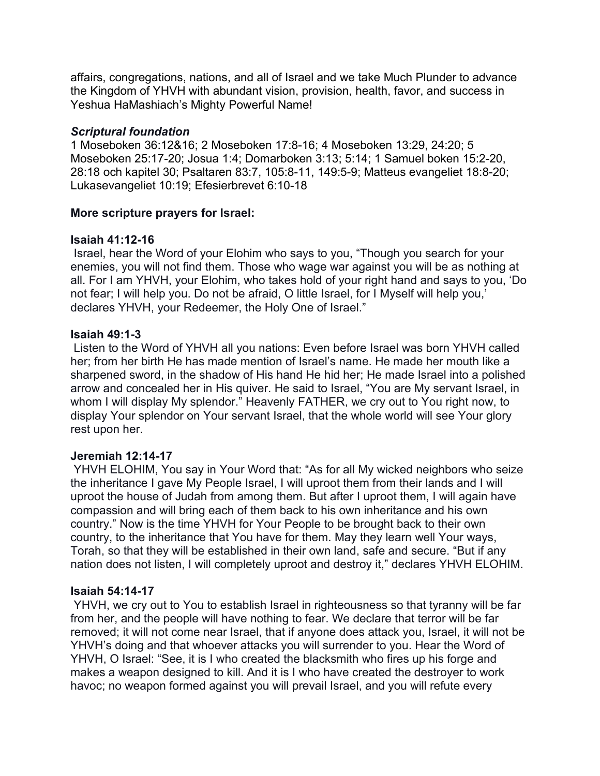affairs, congregations, nations, and all of Israel and we take Much Plunder to advance the Kingdom of YHVH with abundant vision, provision, health, favor, and success in Yeshua HaMashiach's Mighty Powerful Name!

#### *Scriptural foundation*

1 Moseboken 36:12&16; 2 Moseboken 17:8-16; 4 Moseboken 13:29, 24:20; 5 Moseboken 25:17-20; Josua 1:4; Domarboken 3:13; 5:14; 1 Samuel boken 15:2-20, 28:18 och kapitel 30; Psaltaren 83:7, 105:8-11, 149:5-9; Matteus evangeliet 18:8-20; Lukasevangeliet 10:19; Efesierbrevet 6:10-18

#### **More scripture prayers for Israel:**

#### **Isaiah 41:12-16**

Israel, hear the Word of your Elohim who says to you, "Though you search for your enemies, you will not find them. Those who wage war against you will be as nothing at all. For I am YHVH, your Elohim, who takes hold of your right hand and says to you, 'Do not fear; I will help you. Do not be afraid, O little Israel, for I Myself will help you,' declares YHVH, your Redeemer, the Holy One of Israel."

#### **Isaiah 49:1-3**

Listen to the Word of YHVH all you nations: Even before Israel was born YHVH called her; from her birth He has made mention of Israel's name. He made her mouth like a sharpened sword, in the shadow of His hand He hid her; He made Israel into a polished arrow and concealed her in His quiver. He said to Israel, "You are My servant Israel, in whom I will display My splendor." Heavenly FATHER, we cry out to You right now, to display Your splendor on Your servant Israel, that the whole world will see Your glory rest upon her.

#### **Jeremiah 12:14-17**

YHVH ELOHIM, You say in Your Word that: "As for all My wicked neighbors who seize the inheritance I gave My People Israel, I will uproot them from their lands and I will uproot the house of Judah from among them. But after I uproot them, I will again have compassion and will bring each of them back to his own inheritance and his own country." Now is the time YHVH for Your People to be brought back to their own country, to the inheritance that You have for them. May they learn well Your ways, Torah, so that they will be established in their own land, safe and secure. "But if any nation does not listen, I will completely uproot and destroy it," declares YHVH ELOHIM.

#### **Isaiah 54:14-17**

YHVH, we cry out to You to establish Israel in righteousness so that tyranny will be far from her, and the people will have nothing to fear. We declare that terror will be far removed; it will not come near Israel, that if anyone does attack you, Israel, it will not be YHVH's doing and that whoever attacks you will surrender to you. Hear the Word of YHVH, O Israel: "See, it is I who created the blacksmith who fires up his forge and makes a weapon designed to kill. And it is I who have created the destroyer to work havoc; no weapon formed against you will prevail Israel, and you will refute every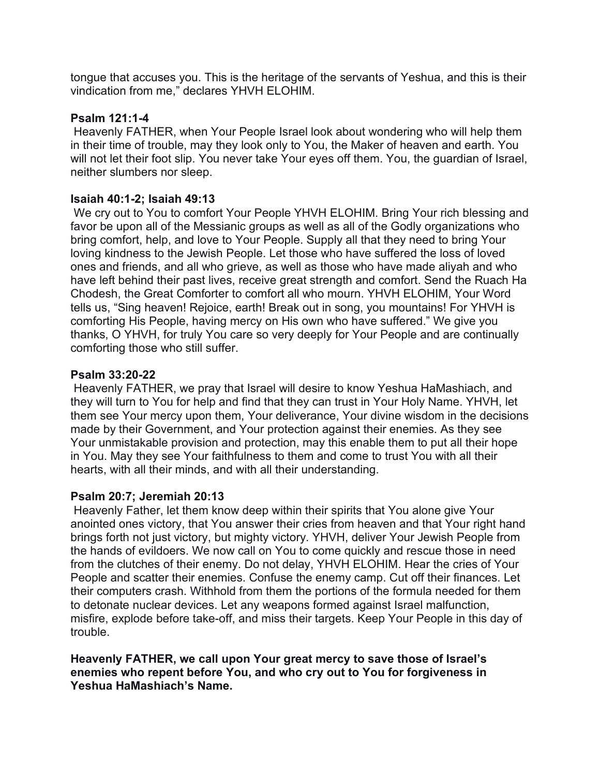tongue that accuses you. This is the heritage of the servants of Yeshua, and this is their vindication from me," declares YHVH ELOHIM.

#### **Psalm 121:1-4**

Heavenly FATHER, when Your People Israel look about wondering who will help them in their time of trouble, may they look only to You, the Maker of heaven and earth. You will not let their foot slip. You never take Your eyes off them. You, the guardian of Israel, neither slumbers nor sleep.

#### **Isaiah 40:1-2; Isaiah 49:13**

We cry out to You to comfort Your People YHVH ELOHIM. Bring Your rich blessing and favor be upon all of the Messianic groups as well as all of the Godly organizations who bring comfort, help, and love to Your People. Supply all that they need to bring Your loving kindness to the Jewish People. Let those who have suffered the loss of loved ones and friends, and all who grieve, as well as those who have made aliyah and who have left behind their past lives, receive great strength and comfort. Send the Ruach Ha Chodesh, the Great Comforter to comfort all who mourn. YHVH ELOHIM, Your Word tells us, "Sing heaven! Rejoice, earth! Break out in song, you mountains! For YHVH is comforting His People, having mercy on His own who have suffered." We give you thanks, O YHVH, for truly You care so very deeply for Your People and are continually comforting those who still suffer.

#### **Psalm 33:20-22**

Heavenly FATHER, we pray that Israel will desire to know Yeshua HaMashiach, and they will turn to You for help and find that they can trust in Your Holy Name. YHVH, let them see Your mercy upon them, Your deliverance, Your divine wisdom in the decisions made by their Government, and Your protection against their enemies. As they see Your unmistakable provision and protection, may this enable them to put all their hope in You. May they see Your faithfulness to them and come to trust You with all their hearts, with all their minds, and with all their understanding.

#### **Psalm 20:7; Jeremiah 20:13**

Heavenly Father, let them know deep within their spirits that You alone give Your anointed ones victory, that You answer their cries from heaven and that Your right hand brings forth not just victory, but mighty victory. YHVH, deliver Your Jewish People from the hands of evildoers. We now call on You to come quickly and rescue those in need from the clutches of their enemy. Do not delay, YHVH ELOHIM. Hear the cries of Your People and scatter their enemies. Confuse the enemy camp. Cut off their finances. Let their computers crash. Withhold from them the portions of the formula needed for them to detonate nuclear devices. Let any weapons formed against Israel malfunction, misfire, explode before take-off, and miss their targets. Keep Your People in this day of trouble.

#### **Heavenly FATHER, we call upon Your great mercy to save those of Israel's enemies who repent before You, and who cry out to You for forgiveness in Yeshua HaMashiach's Name.**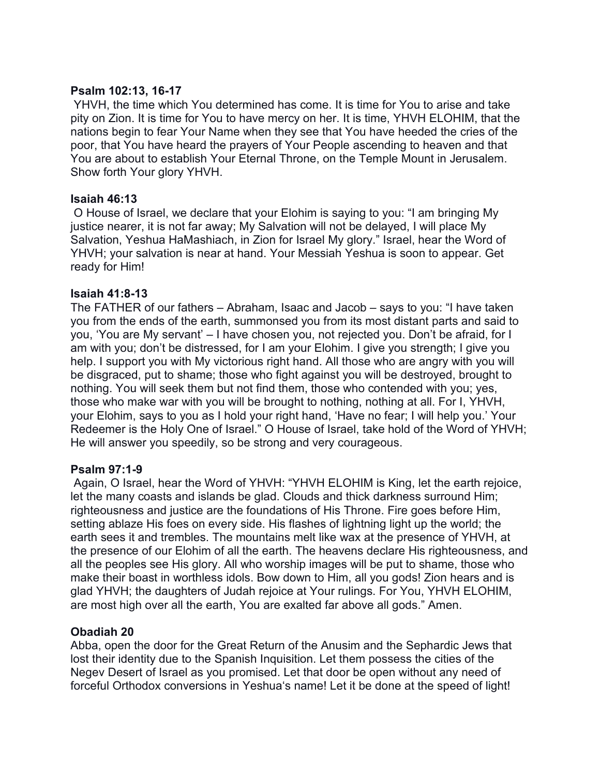#### **Psalm 102:13, 16-17**

YHVH, the time which You determined has come. It is time for You to arise and take pity on Zion. It is time for You to have mercy on her. It is time, YHVH ELOHIM, that the nations begin to fear Your Name when they see that You have heeded the cries of the poor, that You have heard the prayers of Your People ascending to heaven and that You are about to establish Your Eternal Throne, on the Temple Mount in Jerusalem. Show forth Your glory YHVH.

#### **Isaiah 46:13**

O House of Israel, we declare that your Elohim is saying to you: "I am bringing My justice nearer, it is not far away; My Salvation will not be delayed, I will place My Salvation, Yeshua HaMashiach, in Zion for Israel My glory." Israel, hear the Word of YHVH; your salvation is near at hand. Your Messiah Yeshua is soon to appear. Get ready for Him!

#### **Isaiah 41:8-13**

The FATHER of our fathers – Abraham, Isaac and Jacob – says to you: "I have taken you from the ends of the earth, summonsed you from its most distant parts and said to you, 'You are My servant' – I have chosen you, not rejected you. Don't be afraid, for I am with you; don't be distressed, for I am your Elohim. I give you strength; I give you help. I support you with My victorious right hand. All those who are angry with you will be disgraced, put to shame; those who fight against you will be destroyed, brought to nothing. You will seek them but not find them, those who contended with you; yes, those who make war with you will be brought to nothing, nothing at all. For I, YHVH, your Elohim, says to you as I hold your right hand, 'Have no fear; I will help you.' Your Redeemer is the Holy One of Israel." O House of Israel, take hold of the Word of YHVH; He will answer you speedily, so be strong and very courageous.

#### **Psalm 97:1-9**

Again, O Israel, hear the Word of YHVH: "YHVH ELOHIM is King, let the earth rejoice, let the many coasts and islands be glad. Clouds and thick darkness surround Him; righteousness and justice are the foundations of His Throne. Fire goes before Him, setting ablaze His foes on every side. His flashes of lightning light up the world; the earth sees it and trembles. The mountains melt like wax at the presence of YHVH, at the presence of our Elohim of all the earth. The heavens declare His righteousness, and all the peoples see His glory. All who worship images will be put to shame, those who make their boast in worthless idols. Bow down to Him, all you gods! Zion hears and is glad YHVH; the daughters of Judah rejoice at Your rulings. For You, YHVH ELOHIM, are most high over all the earth, You are exalted far above all gods." Amen.

#### **Obadiah 20**

Abba, open the door for the Great Return of the Anusim and the Sephardic Jews that lost their identity due to the Spanish Inquisition. Let them possess the cities of the Negev Desert of Israel as you promised. Let that door be open without any need of forceful Orthodox conversions in Yeshua's name! Let it be done at the speed of light!